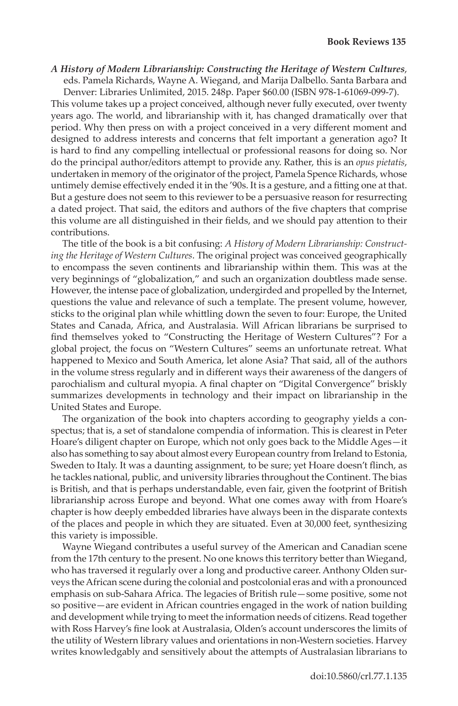*A History of Modern Librarianship: Constructing the Heritage of Western Cultures*, eds. Pamela Richards, Wayne A. Wiegand, and Marija Dalbello. Santa Barbara and Denver: Libraries Unlimited, 2015. 248p. Paper \$60.00 (ISBN 978-1-61069-099-7).

This volume takes up a project conceived, although never fully executed, over twenty years ago. The world, and librarianship with it, has changed dramatically over that period. Why then press on with a project conceived in a very different moment and designed to address interests and concerns that felt important a generation ago? It is hard to find any compelling intellectual or professional reasons for doing so. Nor do the principal author/editors attempt to provide any. Rather, this is an *opus pietatis*, undertaken in memory of the originator of the project, Pamela Spence Richards, whose untimely demise effectively ended it in the '90s. It is a gesture, and a fitting one at that. But a gesture does not seem to this reviewer to be a persuasive reason for resurrecting a dated project. That said, the editors and authors of the five chapters that comprise this volume are all distinguished in their fields, and we should pay attention to their contributions.

The title of the book is a bit confusing: *A History of Modern Librarianship: Constructing the Heritage of Western Cultures*. The original project was conceived geographically to encompass the seven continents and librarianship within them. This was at the very beginnings of "globalization," and such an organization doubtless made sense. However, the intense pace of globalization, undergirded and propelled by the Internet, questions the value and relevance of such a template. The present volume, however, sticks to the original plan while whittling down the seven to four: Europe, the United States and Canada, Africa, and Australasia. Will African librarians be surprised to find themselves yoked to "Constructing the Heritage of Western Cultures"? For a global project, the focus on "Western Cultures" seems an unfortunate retreat. What happened to Mexico and South America, let alone Asia? That said, all of the authors in the volume stress regularly and in different ways their awareness of the dangers of parochialism and cultural myopia. A final chapter on "Digital Convergence" briskly summarizes developments in technology and their impact on librarianship in the United States and Europe.

The organization of the book into chapters according to geography yields a conspectus; that is, a set of standalone compendia of information. This is clearest in Peter Hoare's diligent chapter on Europe, which not only goes back to the Middle Ages—it also has something to say about almost every European country from Ireland to Estonia, Sweden to Italy. It was a daunting assignment, to be sure; yet Hoare doesn't flinch, as he tackles national, public, and university libraries throughout the Continent. The bias is British, and that is perhaps understandable, even fair, given the footprint of British librarianship across Europe and beyond. What one comes away with from Hoare's chapter is how deeply embedded libraries have always been in the disparate contexts of the places and people in which they are situated. Even at 30,000 feet, synthesizing this variety is impossible.

Wayne Wiegand contributes a useful survey of the American and Canadian scene from the 17th century to the present. No one knows this territory better than Wiegand, who has traversed it regularly over a long and productive career. Anthony Olden surveys the African scene during the colonial and postcolonial eras and with a pronounced emphasis on sub-Sahara Africa. The legacies of British rule—some positive, some not so positive—are evident in African countries engaged in the work of nation building and development while trying to meet the information needs of citizens. Read together with Ross Harvey's fine look at Australasia, Olden's account underscores the limits of the utility of Western library values and orientations in non-Western societies. Harvey writes knowledgably and sensitively about the attempts of Australasian librarians to